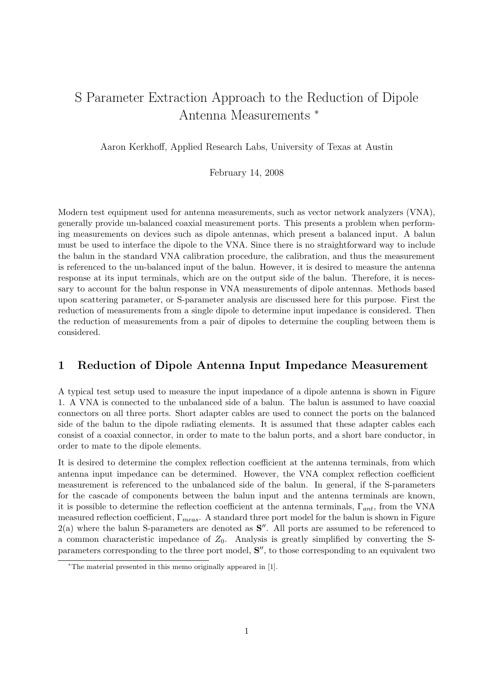## S Parameter Extraction Approach to the Reduction of Dipole Antenna Measurements <sup>∗</sup>

Aaron Kerkhoff, Applied Research Labs, University of Texas at Austin

February 14, 2008

Modern test equipment used for antenna measurements, such as vector network analyzers (VNA), generally provide un-balanced coaxial measurement ports. This presents a problem when performing measurements on devices such as dipole antennas, which present a balanced input. A balun must be used to interface the dipole to the VNA. Since there is no straightforward way to include the balun in the standard VNA calibration procedure, the calibration, and thus the measurement is referenced to the un-balanced input of the balun. However, it is desired to measure the antenna response at its input terminals, which are on the output side of the balun. Therefore, it is necessary to account for the balun response in VNA measurements of dipole antennas. Methods based upon scattering parameter, or S-parameter analysis are discussed here for this purpose. First the reduction of measurements from a single dipole to determine input impedance is considered. Then the reduction of measurements from a pair of dipoles to determine the coupling between them is considered.

## 1 Reduction of Dipole Antenna Input Impedance Measurement

A typical test setup used to measure the input impedance of a dipole antenna is shown in Figure 1. A VNA is connected to the unbalanced side of a balun. The balun is assumed to have coaxial connectors on all three ports. Short adapter cables are used to connect the ports on the balanced side of the balun to the dipole radiating elements. It is assumed that these adapter cables each consist of a coaxial connector, in order to mate to the balun ports, and a short bare conductor, in order to mate to the dipole elements.

It is desired to determine the complex reflection coefficient at the antenna terminals, from which antenna input impedance can be determined. However, the VNA complex reflection coefficient measurement is referenced to the unbalanced side of the balun. In general, if the S-parameters for the cascade of components between the balun input and the antenna terminals are known, it is possible to determine the reflection coefficient at the antenna terminals,  $\Gamma_{ant}$ , from the VNA measured reflection coefficient,  $\Gamma_{meas}$ . A standard three port model for the balun is shown in Figure  $2(a)$  where the balun S-parameters are denoted as  $S''$ . All ports are assumed to be referenced to a common characteristic impedance of  $Z_0$ . Analysis is greatly simplified by converting the Sparameters corresponding to the three port model,  $S''$ , to those corresponding to an equivalent two

<sup>∗</sup>The material presented in this memo originally appeared in [1].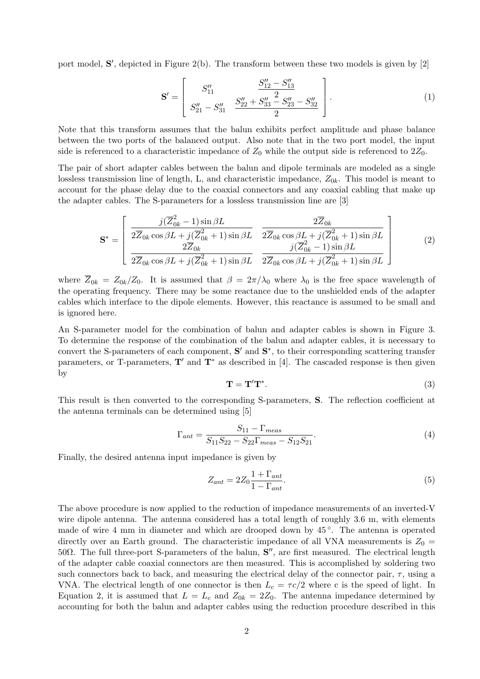port model,  $S'$ , depicted in Figure 2(b). The transform between these two models is given by  $[2]$ 

$$
\mathbf{S}' = \begin{bmatrix} S_{11}'' & \frac{S_{12}'' - S_{13}''}{2} \\ S_{21}'' - S_{31}'' & \frac{S_{22}'' + S_{33}'' - S_{23}'' - S_{32}''}{2} \end{bmatrix} . \tag{1}
$$

Note that this transform assumes that the balun exhibits perfect amplitude and phase balance between the two ports of the balanced output. Also note that in the two port model, the input side is referenced to a characteristic impedance of  $Z_0$  while the output side is referenced to  $2Z_0$ .

The pair of short adapter cables between the balun and dipole terminals are modeled as a single lossless transmission line of length, L, and characteristic impedance,  $Z_{0k}$ . This model is meant to account for the phase delay due to the coaxial connectors and any coaxial cabling that make up the adapter cables. The S-parameters for a lossless transmission line are [3]

$$
\mathbf{S}^* = \begin{bmatrix} \frac{j(\overline{Z}_{0k}^2 - 1)\sin\beta L}{2\overline{Z}_{0k}\cos\beta L + j(\overline{Z}_{0k}^2 + 1)\sin\beta L} & \frac{2\overline{Z}_{0k}}{2\overline{Z}_{0k}\cos\beta L + j(\overline{Z}_{0k}^2 + 1)\sin\beta L} \\ \frac{2\overline{Z}_{0k}}{2\overline{Z}_{0k}\cos\beta L + j(\overline{Z}_{0k}^2 + 1)\sin\beta L} & \frac{j(\overline{Z}_{0k}^2 - 1)\sin\beta L}{2\overline{Z}_{0k}\cos\beta L + j(\overline{Z}_{0k}^2 + 1)\sin\beta L} \end{bmatrix}
$$
(2)

where  $\overline{Z}_{0k} = Z_{0k}/Z_0$ . It is assumed that  $\beta = 2\pi/\lambda_0$  where  $\lambda_0$  is the free space wavelength of the operating frequency. There may be some reactance due to the unshielded ends of the adapter cables which interface to the dipole elements. However, this reactance is assumed to be small and is ignored here.

An S-parameter model for the combination of balun and adapter cables is shown in Figure 3. To determine the response of the combination of the balun and adapter cables, it is necessary to convert the S-parameters of each component,  $S'$  and  $S^*$ , to their corresponding scattering transfer parameters, or T-parameters,  $T'$  and  $T^*$  as described in [4]. The cascaded response is then given by

$$
\mathbf{T} = \mathbf{T}' \mathbf{T}^*.
$$
 (3)

This result is then converted to the corresponding S-parameters, S. The reflection coefficient at the antenna terminals can be determined using [5]

$$
\Gamma_{ant} = \frac{S_{11} - \Gamma_{meas}}{S_{11}S_{22} - S_{22}\Gamma_{meas} - S_{12}S_{21}}.\tag{4}
$$

Finally, the desired antenna input impedance is given by

$$
Z_{ant} = 2Z_0 \frac{1 + \Gamma_{ant}}{1 - \Gamma_{ant}}.\tag{5}
$$

The above procedure is now applied to the reduction of impedance measurements of an inverted-V wire dipole antenna. The antenna considered has a total length of roughly 3.6 m, with elements made of wire 4 mm in diameter and which are drooped down by 45°. The antenna is operated directly over an Earth ground. The characteristic impedance of all VNA measurements is  $Z_0 =$ 50Ω. The full three-port S-parameters of the balun,  $S''$ , are first measured. The electrical length of the adapter cable coaxial connectors are then measured. This is accomplished by soldering two such connectors back to back, and measuring the electrical delay of the connector pair,  $\tau$ , using a VNA. The electrical length of one connector is then  $L_c = \tau c/2$  where c is the speed of light. In Equation 2, it is assumed that  $L = L_c$  and  $Z_{0k} = 2Z_0$ . The antenna impedance determined by accounting for both the balun and adapter cables using the reduction procedure described in this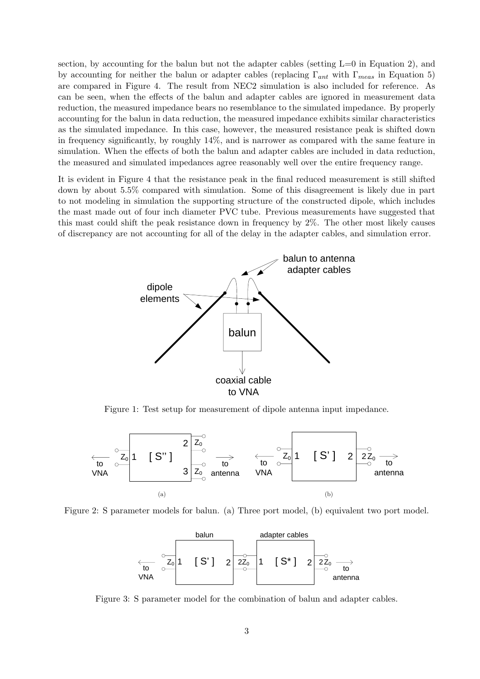section, by accounting for the balun but not the adapter cables (setting  $L=0$  in Equation 2), and by accounting for neither the balun or adapter cables (replacing  $\Gamma_{ant}$  with  $\Gamma_{meas}$  in Equation 5) are compared in Figure 4. The result from NEC2 simulation is also included for reference. As can be seen, when the effects of the balun and adapter cables are ignored in measurement data reduction, the measured impedance bears no resemblance to the simulated impedance. By properly accounting for the balun in data reduction, the measured impedance exhibits similar characteristics as the simulated impedance. In this case, however, the measured resistance peak is shifted down in frequency significantly, by roughly 14%, and is narrower as compared with the same feature in simulation. When the effects of both the balun and adapter cables are included in data reduction, the measured and simulated impedances agree reasonably well over the entire frequency range.

It is evident in Figure 4 that the resistance peak in the final reduced measurement is still shifted down by about 5.5% compared with simulation. Some of this disagreement is likely due in part to not modeling in simulation the supporting structure of the constructed dipole, which includes the mast made out of four inch diameter PVC tube. Previous measurements have suggested that this mast could shift the peak resistance down in frequency by 2%. The other most likely causes of discrepancy are not accounting for all of the delay in the adapter cables, and simulation error.



Figure 1: Test setup for measurement of dipole antenna input impedance.



Figure 2: S parameter models for balun. (a) Three port model, (b) equivalent two port model.



Figure 3: S parameter model for the combination of balun and adapter cables.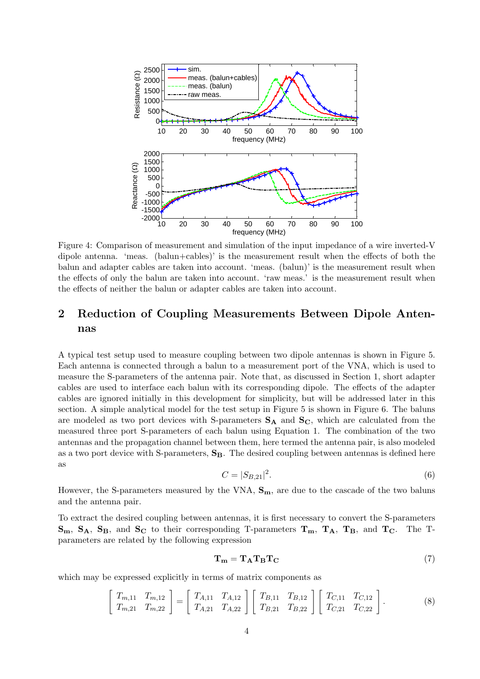

Figure 4: Comparison of measurement and simulation of the input impedance of a wire inverted-V dipole antenna. 'meas. (balun+cables)' is the measurement result when the effects of both the balun and adapter cables are taken into account. 'meas. (balun)' is the measurement result when the effects of only the balun are taken into account. 'raw meas.' is the measurement result when the effects of neither the balun or adapter cables are taken into account.

## 2 Reduction of Coupling Measurements Between Dipole Antennas

A typical test setup used to measure coupling between two dipole antennas is shown in Figure 5. Each antenna is connected through a balun to a measurement port of the VNA, which is used to measure the S-parameters of the antenna pair. Note that, as discussed in Section 1, short adapter cables are used to interface each balun with its corresponding dipole. The effects of the adapter cables are ignored initially in this development for simplicity, but will be addressed later in this section. A simple analytical model for the test setup in Figure 5 is shown in Figure 6. The baluns are modeled as two port devices with S-parameters  $S_A$  and  $S_C$ , which are calculated from the measured three port S-parameters of each balun using Equation 1. The combination of the two antennas and the propagation channel between them, here termed the antenna pair, is also modeled as a two port device with S-parameters,  $S_B$ . The desired coupling between antennas is defined here as

$$
C = |S_{B,21}|^2. \t\t(6)
$$

However, the S-parameters measured by the VNA,  $S_m$ , are due to the cascade of the two baluns and the antenna pair.

To extract the desired coupling between antennas, it is first necessary to convert the S-parameters  $\mathbf{S_m}$ ,  $\mathbf{S_A}$ ,  $\mathbf{S_B}$ , and  $\mathbf{S_C}$  to their corresponding T-parameters  $\mathbf{T_m}$ ,  $\mathbf{T_A}$ ,  $\mathbf{T_B}$ , and  $\mathbf{T_C}$ . The Tparameters are related by the following expression

$$
\mathbf{T_m} = \mathbf{T_A} \mathbf{T_B} \mathbf{T_C} \tag{7}
$$

which may be expressed explicitly in terms of matrix components as

$$
\begin{bmatrix} T_{m,11} & T_{m,12} \\ T_{m,21} & T_{m,22} \end{bmatrix} = \begin{bmatrix} T_{A,11} & T_{A,12} \\ T_{A,21} & T_{A,22} \end{bmatrix} \begin{bmatrix} T_{B,11} & T_{B,12} \\ T_{B,21} & T_{B,22} \end{bmatrix} \begin{bmatrix} T_{C,11} & T_{C,12} \\ T_{C,21} & T_{C,22} \end{bmatrix}.
$$
 (8)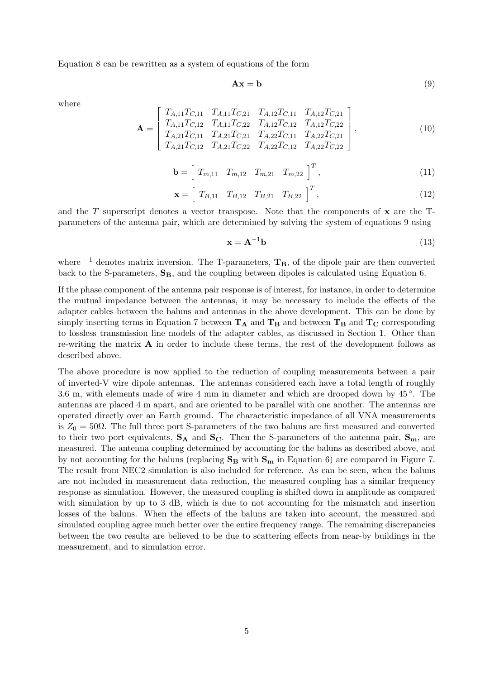Equation 8 can be rewritten as a system of equations of the form

$$
\mathbf{A}\mathbf{x} = \mathbf{b} \tag{9}
$$

where

$$
\mathbf{A} = \begin{bmatrix} T_{A,11}T_{C,11} & T_{A,11}T_{C,21} & T_{A,12}T_{C,11} & T_{A,12}T_{C,21} \\ T_{A,11}T_{C,12} & T_{A,11}T_{C,22} & T_{A,12}T_{C,12} & T_{A,12}T_{C,22} \\ T_{A,21}T_{C,11} & T_{A,21}T_{C,21} & T_{A,22}T_{C,11} & T_{A,22}T_{C,21} \\ T_{A,21}T_{C,12} & T_{A,21}T_{C,22} & T_{A,22}T_{C,12} & T_{A,22}T_{C,22} \end{bmatrix},
$$
\n(10)

$$
\mathbf{b} = \left[ T_{m,11} \quad T_{m,12} \quad T_{m,21} \quad T_{m,22} \right]^T, \tag{11}
$$

$$
\mathbf{x} = \left[ T_{B,11} \quad T_{B,12} \quad T_{B,21} \quad T_{B,22} \right]^T, \tag{12}
$$

and the  $T$  superscript denotes a vector transpose. Note that the components of  $x$  are the  $T$ parameters of the antenna pair, which are determined by solving the system of equations 9 using

$$
\mathbf{x} = \mathbf{A}^{-1} \mathbf{b} \tag{13}
$$

where  $^{-1}$  denotes matrix inversion. The T-parameters,  $T_B$ , of the dipole pair are then converted back to the S-parameters,  $S_B$ , and the coupling between dipoles is calculated using Equation 6.

If the phase component of the antenna pair response is of interest, for instance, in order to determine the mutual impedance between the antennas, it may be necessary to include the effects of the adapter cables between the baluns and antennas in the above development. This can be done by simply inserting terms in Equation 7 between  $T_A$  and  $T_B$  and between  $T_B$  and  $T_C$  corresponding to lossless transmission line models of the adapter cables, as discussed in Section 1. Other than re-writing the matrix  $\bf{A}$  in order to include these terms, the rest of the development follows as described above.

The above procedure is now applied to the reduction of coupling measurements between a pair of inverted-V wire dipole antennas. The antennas considered each have a total length of roughly 3.6 m, with elements made of wire 4 mm in diameter and which are drooped down by 45 ◦ . The antennas are placed 4 m apart, and are oriented to be parallel with one another. The antennas are operated directly over an Earth ground. The characteristic impedance of all VNA measurements is  $Z_0 = 50\Omega$ . The full three port S-parameters of the two baluns are first measured and converted to their two port equivalents,  $S_A$  and  $S_C$ . Then the S-parameters of the antenna pair,  $S_m$ , are measured. The antenna coupling determined by accounting for the baluns as described above, and by not accounting for the baluns (replacing  $S_B$  with  $S_m$  in Equation 6) are compared in Figure 7. The result from NEC2 simulation is also included for reference. As can be seen, when the baluns are not included in measurement data reduction, the measured coupling has a similar frequency response as simulation. However, the measured coupling is shifted down in amplitude as compared with simulation by up to 3 dB, which is due to not accounting for the mismatch and insertion losses of the baluns. When the effects of the baluns are taken into account, the measured and simulated coupling agree much better over the entire frequency range. The remaining discrepancies between the two results are believed to be due to scattering effects from near-by buildings in the measurement, and to simulation error.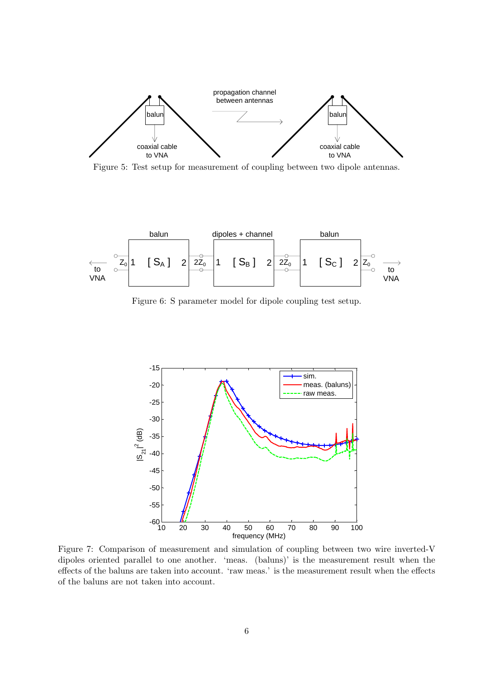

Figure 5: Test setup for measurement of coupling between two dipole antennas.



Figure 6: S parameter model for dipole coupling test setup.



Figure 7: Comparison of measurement and simulation of coupling between two wire inverted-V dipoles oriented parallel to one another. 'meas. (baluns)' is the measurement result when the effects of the baluns are taken into account. 'raw meas.' is the measurement result when the effects of the baluns are not taken into account.